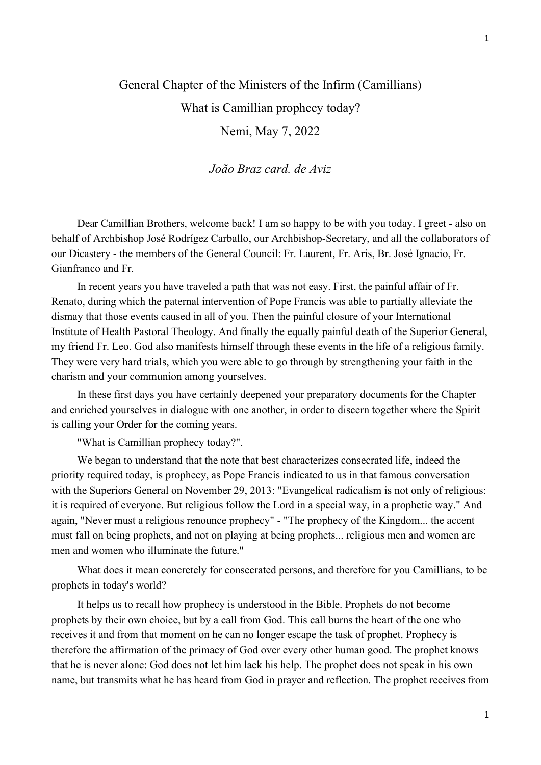## General Chapter of the Ministers of the Infirm (Camillians) What is Camillian prophecy today? Nemi, May 7, 2022

João Braz card. de Aviz

 Dear Camillian Brothers, welcome back! I am so happy to be with you today. I greet - also on behalf of Archbishop José Rodrígez Carballo, our Archbishop-Secretary, and all the collaborators of our Dicastery - the members of the General Council: Fr. Laurent, Fr. Aris, Br. José Ignacio, Fr. Gianfranco and Fr.

 In recent years you have traveled a path that was not easy. First, the painful affair of Fr. Renato, during which the paternal intervention of Pope Francis was able to partially alleviate the dismay that those events caused in all of you. Then the painful closure of your International Institute of Health Pastoral Theology. And finally the equally painful death of the Superior General, my friend Fr. Leo. God also manifests himself through these events in the life of a religious family. They were very hard trials, which you were able to go through by strengthening your faith in the charism and your communion among yourselves.

 In these first days you have certainly deepened your preparatory documents for the Chapter and enriched yourselves in dialogue with one another, in order to discern together where the Spirit is calling your Order for the coming years.

"What is Camillian prophecy today?".

 We began to understand that the note that best characterizes consecrated life, indeed the priority required today, is prophecy, as Pope Francis indicated to us in that famous conversation with the Superiors General on November 29, 2013: "Evangelical radicalism is not only of religious: it is required of everyone. But religious follow the Lord in a special way, in a prophetic way." And again, "Never must a religious renounce prophecy" - "The prophecy of the Kingdom... the accent must fall on being prophets, and not on playing at being prophets... religious men and women are men and women who illuminate the future."

 What does it mean concretely for consecrated persons, and therefore for you Camillians, to be prophets in today's world?

 It helps us to recall how prophecy is understood in the Bible. Prophets do not become prophets by their own choice, but by a call from God. This call burns the heart of the one who receives it and from that moment on he can no longer escape the task of prophet. Prophecy is therefore the affirmation of the primacy of God over every other human good. The prophet knows that he is never alone: God does not let him lack his help. The prophet does not speak in his own name, but transmits what he has heard from God in prayer and reflection. The prophet receives from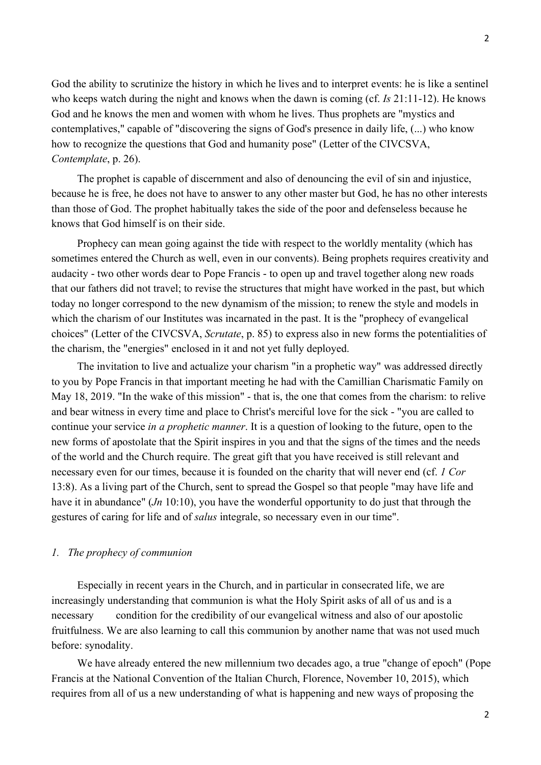God the ability to scrutinize the history in which he lives and to interpret events: he is like a sentinel who keeps watch during the night and knows when the dawn is coming (cf. Is 21:11-12). He knows God and he knows the men and women with whom he lives. Thus prophets are "mystics and contemplatives," capable of "discovering the signs of God's presence in daily life, (...) who know how to recognize the questions that God and humanity pose" (Letter of the CIVCSVA, Contemplate, p. 26).

 The prophet is capable of discernment and also of denouncing the evil of sin and injustice, because he is free, he does not have to answer to any other master but God, he has no other interests than those of God. The prophet habitually takes the side of the poor and defenseless because he knows that God himself is on their side.

 Prophecy can mean going against the tide with respect to the worldly mentality (which has sometimes entered the Church as well, even in our convents). Being prophets requires creativity and audacity - two other words dear to Pope Francis - to open up and travel together along new roads that our fathers did not travel; to revise the structures that might have worked in the past, but which today no longer correspond to the new dynamism of the mission; to renew the style and models in which the charism of our Institutes was incarnated in the past. It is the "prophecy of evangelical choices" (Letter of the CIVCSVA, Scrutate, p. 85) to express also in new forms the potentialities of the charism, the "energies" enclosed in it and not yet fully deployed.

 The invitation to live and actualize your charism "in a prophetic way" was addressed directly to you by Pope Francis in that important meeting he had with the Camillian Charismatic Family on May 18, 2019. "In the wake of this mission" - that is, the one that comes from the charism: to relive and bear witness in every time and place to Christ's merciful love for the sick - "you are called to continue your service in a prophetic manner. It is a question of looking to the future, open to the new forms of apostolate that the Spirit inspires in you and that the signs of the times and the needs of the world and the Church require. The great gift that you have received is still relevant and necessary even for our times, because it is founded on the charity that will never end (cf. 1 Cor 13:8). As a living part of the Church, sent to spread the Gospel so that people "may have life and have it in abundance" (*Jn* 10:10), you have the wonderful opportunity to do just that through the gestures of caring for life and of salus integrale, so necessary even in our time".

## 1. The prophecy of communion

 Especially in recent years in the Church, and in particular in consecrated life, we are increasingly understanding that communion is what the Holy Spirit asks of all of us and is a necessary condition for the credibility of our evangelical witness and also of our apostolic fruitfulness. We are also learning to call this communion by another name that was not used much before: synodality.

 We have already entered the new millennium two decades ago, a true "change of epoch" (Pope Francis at the National Convention of the Italian Church, Florence, November 10, 2015), which requires from all of us a new understanding of what is happening and new ways of proposing the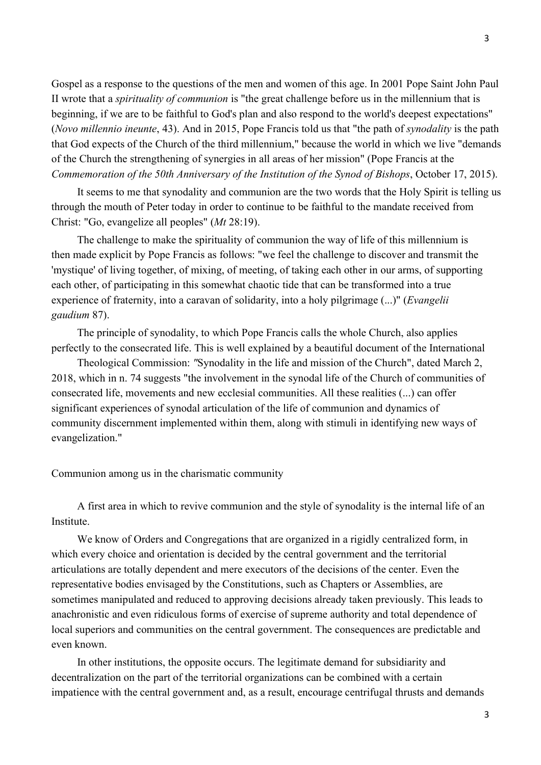Gospel as a response to the questions of the men and women of this age. In 2001 Pope Saint John Paul II wrote that a spirituality of communion is "the great challenge before us in the millennium that is beginning, if we are to be faithful to God's plan and also respond to the world's deepest expectations" (Novo millennio ineunte, 43). And in 2015, Pope Francis told us that "the path of synodality is the path that God expects of the Church of the third millennium," because the world in which we live "demands of the Church the strengthening of synergies in all areas of her mission" (Pope Francis at the Commemoration of the 50th Anniversary of the Institution of the Synod of Bishops, October 17, 2015).

 It seems to me that synodality and communion are the two words that the Holy Spirit is telling us through the mouth of Peter today in order to continue to be faithful to the mandate received from Christ: "Go, evangelize all peoples" (Mt 28:19).

 The challenge to make the spirituality of communion the way of life of this millennium is then made explicit by Pope Francis as follows: "we feel the challenge to discover and transmit the 'mystique' of living together, of mixing, of meeting, of taking each other in our arms, of supporting each other, of participating in this somewhat chaotic tide that can be transformed into a true experience of fraternity, into a caravan of solidarity, into a holy pilgrimage  $(...)$ " (*Evangelii* gaudium 87).

 The principle of synodality, to which Pope Francis calls the whole Church, also applies perfectly to the consecrated life. This is well explained by a beautiful document of the International

 Theological Commission: "Synodality in the life and mission of the Church", dated March 2, 2018, which in n. 74 suggests "the involvement in the synodal life of the Church of communities of consecrated life, movements and new ecclesial communities. All these realities (...) can offer significant experiences of synodal articulation of the life of communion and dynamics of community discernment implemented within them, along with stimuli in identifying new ways of evangelization."

Communion among us in the charismatic community

 A first area in which to revive communion and the style of synodality is the internal life of an Institute.

 We know of Orders and Congregations that are organized in a rigidly centralized form, in which every choice and orientation is decided by the central government and the territorial articulations are totally dependent and mere executors of the decisions of the center. Even the representative bodies envisaged by the Constitutions, such as Chapters or Assemblies, are sometimes manipulated and reduced to approving decisions already taken previously. This leads to anachronistic and even ridiculous forms of exercise of supreme authority and total dependence of local superiors and communities on the central government. The consequences are predictable and even known.

 In other institutions, the opposite occurs. The legitimate demand for subsidiarity and decentralization on the part of the territorial organizations can be combined with a certain impatience with the central government and, as a result, encourage centrifugal thrusts and demands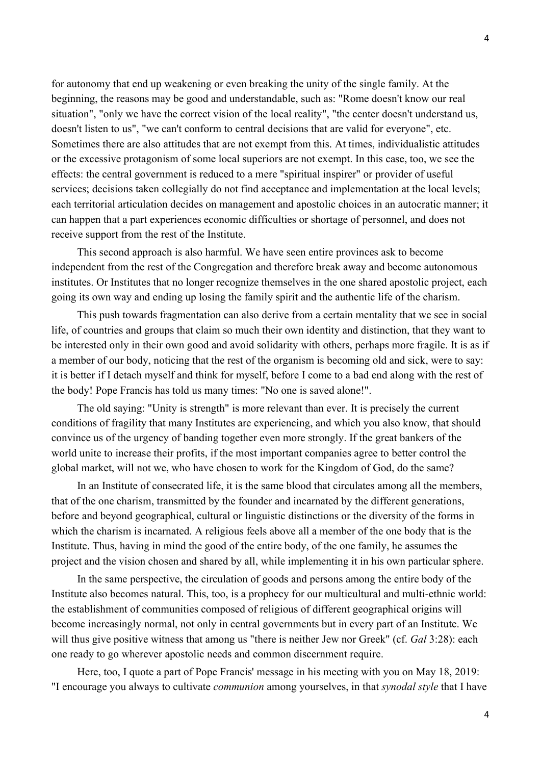for autonomy that end up weakening or even breaking the unity of the single family. At the beginning, the reasons may be good and understandable, such as: "Rome doesn't know our real situation", "only we have the correct vision of the local reality", "the center doesn't understand us, doesn't listen to us", "we can't conform to central decisions that are valid for everyone", etc. Sometimes there are also attitudes that are not exempt from this. At times, individualistic attitudes or the excessive protagonism of some local superiors are not exempt. In this case, too, we see the effects: the central government is reduced to a mere "spiritual inspirer" or provider of useful services; decisions taken collegially do not find acceptance and implementation at the local levels; each territorial articulation decides on management and apostolic choices in an autocratic manner; it can happen that a part experiences economic difficulties or shortage of personnel, and does not receive support from the rest of the Institute.

 This second approach is also harmful. We have seen entire provinces ask to become independent from the rest of the Congregation and therefore break away and become autonomous institutes. Or Institutes that no longer recognize themselves in the one shared apostolic project, each going its own way and ending up losing the family spirit and the authentic life of the charism.

 This push towards fragmentation can also derive from a certain mentality that we see in social life, of countries and groups that claim so much their own identity and distinction, that they want to be interested only in their own good and avoid solidarity with others, perhaps more fragile. It is as if a member of our body, noticing that the rest of the organism is becoming old and sick, were to say: it is better if I detach myself and think for myself, before I come to a bad end along with the rest of the body! Pope Francis has told us many times: "No one is saved alone!".

 The old saying: "Unity is strength" is more relevant than ever. It is precisely the current conditions of fragility that many Institutes are experiencing, and which you also know, that should convince us of the urgency of banding together even more strongly. If the great bankers of the world unite to increase their profits, if the most important companies agree to better control the global market, will not we, who have chosen to work for the Kingdom of God, do the same?

 In an Institute of consecrated life, it is the same blood that circulates among all the members, that of the one charism, transmitted by the founder and incarnated by the different generations, before and beyond geographical, cultural or linguistic distinctions or the diversity of the forms in which the charism is incarnated. A religious feels above all a member of the one body that is the Institute. Thus, having in mind the good of the entire body, of the one family, he assumes the project and the vision chosen and shared by all, while implementing it in his own particular sphere.

 In the same perspective, the circulation of goods and persons among the entire body of the Institute also becomes natural. This, too, is a prophecy for our multicultural and multi-ethnic world: the establishment of communities composed of religious of different geographical origins will become increasingly normal, not only in central governments but in every part of an Institute. We will thus give positive witness that among us "there is neither Jew nor Greek" (cf. Gal 3:28): each one ready to go wherever apostolic needs and common discernment require.

 Here, too, I quote a part of Pope Francis' message in his meeting with you on May 18, 2019: "I encourage you always to cultivate communion among yourselves, in that synodal style that I have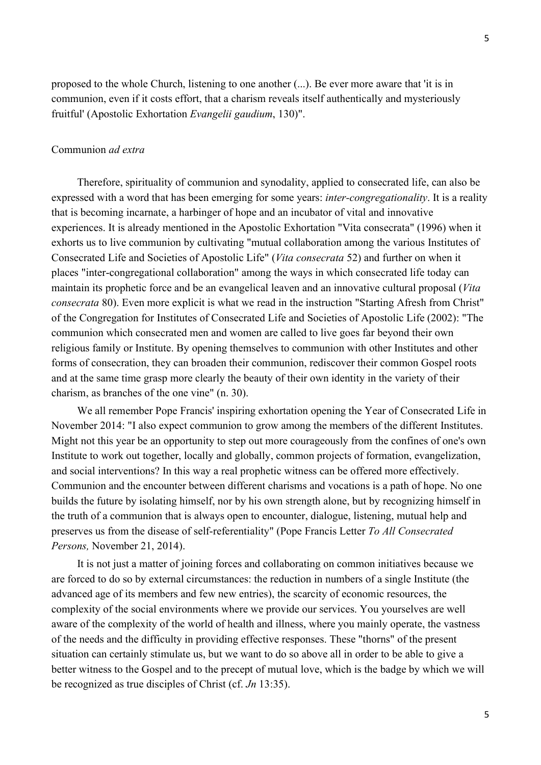proposed to the whole Church, listening to one another (...). Be ever more aware that 'it is in communion, even if it costs effort, that a charism reveals itself authentically and mysteriously fruitful' (Apostolic Exhortation Evangelii gaudium, 130)".

## Communion ad extra

Therefore, spirituality of communion and synodality, applied to consecrated life, can also be expressed with a word that has been emerging for some years: inter-congregationality. It is a reality that is becoming incarnate, a harbinger of hope and an incubator of vital and innovative experiences. It is already mentioned in the Apostolic Exhortation "Vita consecrata" (1996) when it exhorts us to live communion by cultivating "mutual collaboration among the various Institutes of Consecrated Life and Societies of Apostolic Life" (Vita consecrata 52) and further on when it places "inter-congregational collaboration" among the ways in which consecrated life today can maintain its prophetic force and be an evangelical leaven and an innovative cultural proposal (Vita consecrata 80). Even more explicit is what we read in the instruction "Starting Afresh from Christ" of the Congregation for Institutes of Consecrated Life and Societies of Apostolic Life (2002): "The communion which consecrated men and women are called to live goes far beyond their own religious family or Institute. By opening themselves to communion with other Institutes and other forms of consecration, they can broaden their communion, rediscover their common Gospel roots and at the same time grasp more clearly the beauty of their own identity in the variety of their charism, as branches of the one vine" (n. 30).

 We all remember Pope Francis' inspiring exhortation opening the Year of Consecrated Life in November 2014: "I also expect communion to grow among the members of the different Institutes. Might not this year be an opportunity to step out more courageously from the confines of one's own Institute to work out together, locally and globally, common projects of formation, evangelization, and social interventions? In this way a real prophetic witness can be offered more effectively. Communion and the encounter between different charisms and vocations is a path of hope. No one builds the future by isolating himself, nor by his own strength alone, but by recognizing himself in the truth of a communion that is always open to encounter, dialogue, listening, mutual help and preserves us from the disease of self-referentiality" (Pope Francis Letter To All Consecrated Persons, November 21, 2014).

 It is not just a matter of joining forces and collaborating on common initiatives because we are forced to do so by external circumstances: the reduction in numbers of a single Institute (the advanced age of its members and few new entries), the scarcity of economic resources, the complexity of the social environments where we provide our services. You yourselves are well aware of the complexity of the world of health and illness, where you mainly operate, the vastness of the needs and the difficulty in providing effective responses. These "thorns" of the present situation can certainly stimulate us, but we want to do so above all in order to be able to give a better witness to the Gospel and to the precept of mutual love, which is the badge by which we will be recognized as true disciples of Christ (cf. Jn 13:35).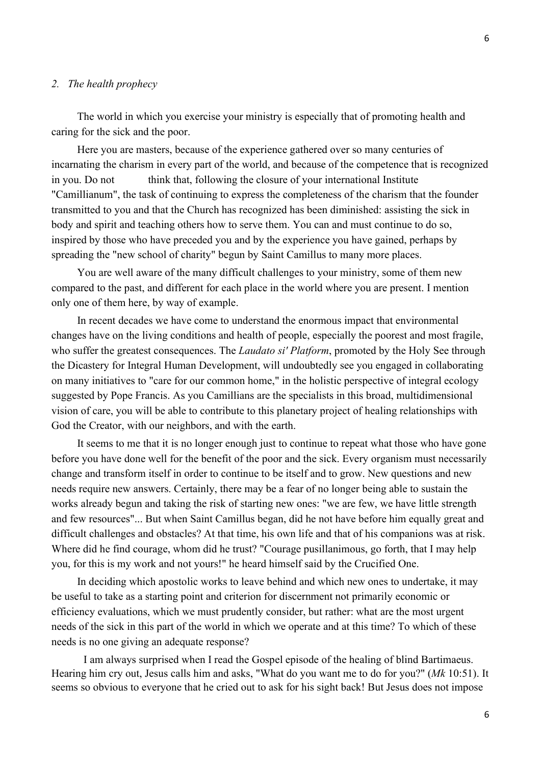## 2. The health prophecy

 The world in which you exercise your ministry is especially that of promoting health and caring for the sick and the poor.

 Here you are masters, because of the experience gathered over so many centuries of incarnating the charism in every part of the world, and because of the competence that is recognized in you. Do not think that, following the closure of your international Institute "Camillianum", the task of continuing to express the completeness of the charism that the founder transmitted to you and that the Church has recognized has been diminished: assisting the sick in body and spirit and teaching others how to serve them. You can and must continue to do so, inspired by those who have preceded you and by the experience you have gained, perhaps by spreading the "new school of charity" begun by Saint Camillus to many more places.

 You are well aware of the many difficult challenges to your ministry, some of them new compared to the past, and different for each place in the world where you are present. I mention only one of them here, by way of example.

 In recent decades we have come to understand the enormous impact that environmental changes have on the living conditions and health of people, especially the poorest and most fragile, who suffer the greatest consequences. The *Laudato si' Platform*, promoted by the Holy See through the Dicastery for Integral Human Development, will undoubtedly see you engaged in collaborating on many initiatives to "care for our common home," in the holistic perspective of integral ecology suggested by Pope Francis. As you Camillians are the specialists in this broad, multidimensional vision of care, you will be able to contribute to this planetary project of healing relationships with God the Creator, with our neighbors, and with the earth.

 It seems to me that it is no longer enough just to continue to repeat what those who have gone before you have done well for the benefit of the poor and the sick. Every organism must necessarily change and transform itself in order to continue to be itself and to grow. New questions and new needs require new answers. Certainly, there may be a fear of no longer being able to sustain the works already begun and taking the risk of starting new ones: "we are few, we have little strength and few resources"... But when Saint Camillus began, did he not have before him equally great and difficult challenges and obstacles? At that time, his own life and that of his companions was at risk. Where did he find courage, whom did he trust? "Courage pusillanimous, go forth, that I may help you, for this is my work and not yours!" he heard himself said by the Crucified One.

 In deciding which apostolic works to leave behind and which new ones to undertake, it may be useful to take as a starting point and criterion for discernment not primarily economic or efficiency evaluations, which we must prudently consider, but rather: what are the most urgent needs of the sick in this part of the world in which we operate and at this time? To which of these needs is no one giving an adequate response?

I am always surprised when I read the Gospel episode of the healing of blind Bartimaeus. Hearing him cry out, Jesus calls him and asks, "What do you want me to do for you?" (Mk 10:51). It seems so obvious to everyone that he cried out to ask for his sight back! But Jesus does not impose